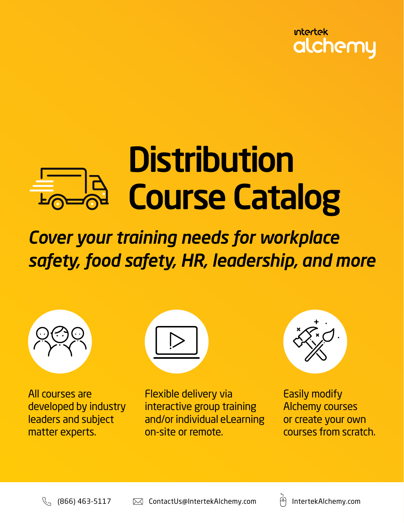

# **Distribution** Course Catalog

*Cover your training needs for workplace safety, food safety, HR, leadership, and more*



All courses are developed by industry leaders and subject matter experts.



Flexible delivery via interactive group training and/or individual eLearning on-site or remote.



Easily modify Alchemy courses or create your own courses from scratch.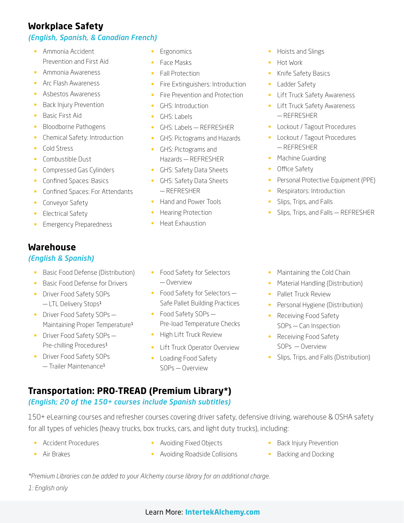# **Workplace Safety**

### *(English, Spanish, & Canadian French)*

- Ammonia Accident Prevention and First Aid
- Ammonia Awareness
- Arc Flash Awareness
- Asbestos Awareness
- Back Injury Prevention
- Basic First Aid
- Bloodborne Pathogens
- Chemical Safety: Introduction
- Cold Stress
- Combustible Dust
- Compressed Gas Cylinders
- Confined Spaces: Basics
- Confined Spaces: For Attendants
- Conveyor Safety
- Electrical Safety
- Emergency Preparedness

# **Warehouse**

### *(English & Spanish)*

- Basic Food Defense (Distribution)
- Basic Food Defense for Drivers
- Driver Food Safety SOPs  $-$  LTL Delivery Stops<sup>1</sup>
- Driver Food Safety SOPs -Maintaining Proper Temperature<sup>1</sup>
- Driver Food Safety SOPs-Pre-chilling Procedures<sup>1</sup>
- Driver Food Safety SOPs — Trailer Maintenance<sup>1</sup>
- **Ergonomics**
- Face Masks
- Fall Protection
- Fire Extinguishers: Introduction
- Fire Prevention and Protection
- GHS: Introduction
- GHS: Labels
- GHS: Labels REFRESHER
- GHS: Pictograms and Hazards
- GHS: Pictograms and Hazards — REFRESHER
- GHS: Safety Data Sheets
- GHS: Safety Data Sheets — REFRESHER
- Hand and Power Tools
- Hearing Protection
- Heat Exhaustion
- Hoists and Slings
- Hot Work
- Knife Safety Basics
- Ladder Safety
- Lift Truck Safety Awareness
- Lift Truck Safety Awareness — REFRESHER
- Lockout / Tagout Procedures
- Lockout / Tagout Procedures — REFRESHER
- Machine Guarding
- Office Safety
- Personal Protective Equipment (PPE)
- Respirators: Introduction
- Slips, Trips, and Falls
- Slips, Trips, and Falls REFRESHER

- Food Safety for Selectors — Overview
- Food Safety for Selectors -Safe Pallet Building Practices
- Food Safety SOPs -Pre-load Temperature Checks
- High Lift Truck Review
- Lift Truck Operator Overview
- Loading Food Safety SOPs — Overview
- Maintaining the Cold Chain
- Material Handling (Distribution)
- Pallet Truck Review
- Personal Hygiene (Distribution)
- Receiving Food Safety SOPs — Can Inspection
- Receiving Food Safety SOPs — Overview
- Slips, Trips, and Falls (Distribution)

# **Transportation: PRO-TREAD (Premium Library\*)**

### *(English; 20 of the 150+ courses include Spanish subtitles)*

150+ eLearning courses and refresher courses covering driver safety, defensive driving, warehouse & OSHA safety for all types of vehicles (heavy trucks, box trucks, cars, and light duty trucks), including:

- Accident Procedures
- Avoiding Fixed Objects
- Back Injury Prevention
- Backing and Docking

*\*Premium Libraries can be added to your Alchemy course library for an additional charge. 1: English only* 

- 
- - Avoiding Roadside Collisions
- Air Brakes
- 
-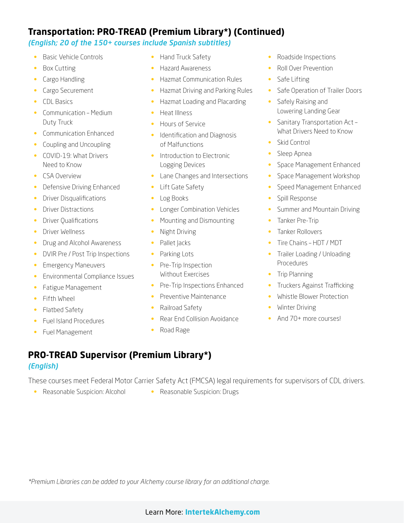# **Transportation: PRO-TREAD (Premium Library\*) (Continued)**

#### *(English; 20 of the 150+ courses include Spanish subtitles)*

- Basic Vehicle Controls
- Box Cutting
- Cargo Handling
- Cargo Securement
- CDL Basics
- Communication Medium Duty Truck
- Communication Enhanced
- Coupling and Uncoupling
- COVID-19: What Drivers Need to Know
- CSA Overview
- Defensive Driving Enhanced
- Driver Disqualifications
- Driver Distractions
- Driver Qualifications
- Driver Wellness
- Drug and Alcohol Awareness
- DVIR Pre / Post Trip Inspections
- Emergency Maneuvers
- Environmental Compliance Issues
- Fatigue Management
- Fifth Wheel
- Flatbed Safety
- Fuel Island Procedures
- Fuel Management
- Hand Truck Safety
- Hazard Awareness
- Hazmat Communication Rules
- Hazmat Driving and Parking Rules
- Hazmat Loading and Placarding
- Heat Illness
- Hours of Service
- Identification and Diagnosis of Malfunctions
- Introduction to Electronic Logging Devices
- Lane Changes and Intersections
- Lift Gate Safety
- Log Books
- Longer Combination Vehicles
- Mounting and Dismounting
- Night Driving
- Pallet Jacks
- Parking Lots
- Pre-Trip Inspection Without Exercises
- Pre-Trip Inspections Enhanced
- Preventive Maintenance
- Railroad Safety
- Rear End Collision Avoidance
- Road Rage
- Roadside Inspections
- Roll Over Prevention
- Safe Lifting
- Safe Operation of Trailer Doors
- Safely Raising and Lowering Landing Gear
- Sanitary Transportation Act -What Drivers Need to Know
- Skid Control
- Sleep Apnea
- Space Management Enhanced
- Space Management Workshop
- Speed Management Enhanced
- Spill Response
- Summer and Mountain Driving
- Tanker Pre-Trip
- Tanker Rollovers
- Tire Chains HDT / MDT
- Trailer Loading / Unloading Procedures
- Trip Planning
- Truckers Against Trafficking
- Whistle Blower Protection
- Winter Driving
- And 70+ more courses!

### **PRO-TREAD Supervisor (Premium Library\*)** *(English)*

These courses meet Federal Motor Carrier Safety Act (FMCSA) legal requirements for supervisors of CDL drivers.

- Reasonable Suspicion: Alcohol Reasonable Suspicion: Drugs
	-

*\*Premium Libraries can be added to your Alchemy course library for an additional charge.*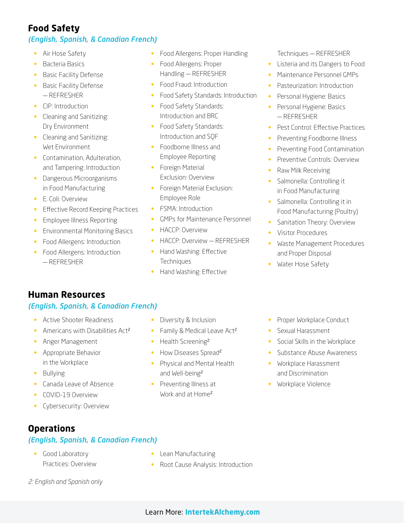# **Food Safety**

### *(English, Spanish, & Canadian French)*

- Air Hose Safety
- Bacteria Basics
- Basic Facility Defense
- Basic Facility Defense — REFRESHER
- CIP: Introduction
- Cleaning and Sanitizing: Dry Environment
- Cleaning and Sanitizing: Wet Environment
- Contamination, Adulteration, and Tampering: Introduction
- Dangerous Microorganisms in Food Manufacturing
- E. Coli: Overview
- Effective Record Keeping Practices
- Employee Illness Reporting
- Environmental Monitoring Basics
- Food Allergens: Introduction
- Food Allergens: Introduction — REFRESHER
- 
- Food Allergens: Proper Handling
- Food Allergens: Proper Handling — REFRESHER
- Food Fraud: Introduction
- Food Safety Standards: Introduction
- Food Safety Standards: Introduction and BRC
- Food Safety Standards: Introduction and SQF
- Foodborne Illness and Employee Reporting
- Foreign Material Exclusion: Overview
- Foreign Material Exclusion: Employee Role
- FSMA: Introduction
- GMPs for Maintenance Personnel
- HACCP: Overview
- HACCP: Overview REFRESHER
- Hand Washing: Effective **Techniques**
- Hand Washing: Effective
- Techniques REFRESHER
- Listeria and its Dangers to Food
- Maintenance Personnel GMPs
- Pasteurization: Introduction
- Personal Hygiene: Basics
- Personal Hygiene: Basics — REFRESHER
- Pest Control: Effective Practices
- Preventing Foodborne Illness
- Preventing Food Contamination
- Preventive Controls: Overview
- Raw Milk Receiving
- Salmonella: Controlling it in Food Manufacturing
- Salmonella: Controlling it in Food Manufacturing (Poultry)
- Sanitation Theory: Overview
- Visitor Procedures
- Waste Management Procedures and Proper Disposal
- Water Hose Safety

# **Human Resources**

### *(English, Spanish, & Canadian French)*

- Active Shooter Readiness
- Americans with Disabilities Act<sup>2</sup>
- Anger Management
- Appropriate Behavior in the Workplace
- Bullying
- Canada Leave of Absence
- COVID-19 Overview
- Cybersecurity: Overview

# **Operations**

### *(English, Spanish, & Canadian French)*

• Good Laboratory Practices: Overview

- Lean Manufacturing
- Root Cause Analysis: Introduction

*2: English and Spanish only*

- Diversity & Inclusion
- Family & Medical Leave Act<sup>2</sup>
- Health Screening<sup>2</sup>
- How Diseases Spread<sup>2</sup>
- Physical and Mental Health and Well-being<sup>2</sup>
- Preventing Illness at Work and at Home<sup>2</sup>
- Proper Workplace Conduct
- Sexual Harassment
- Social Skills in the Workplace
- Substance Abuse Awareness
- Workplace Harassment and Discrimination
- Workplace Violence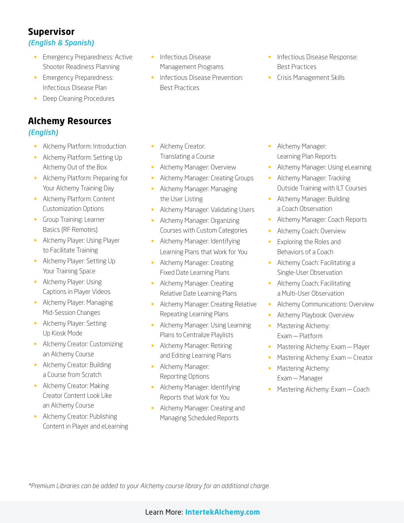# **Supervisor**

### *(English & Spanish)*

- Emergency Preparedness: Active Shooter Readiness Planning
- Emergency Preparedness: Infectious Disease Plan
- Deep Cleaning Procedures

# **Alchemy Resources** *(English)*

- Alchemy Platform: Introduction
- Alchemy Platform: Setting Up Alchemy Out of the Box
- Alchemy Platform: Preparing for Your Alchemy Training Day
- Alchemy Platform: Content Customization Options
- Group Training: Learner Basics (RF Remotes)
- Alchemy Player: Using Player to Facilitate Training
- Alchemy Player: Setting Up Your Training Space
- Alchemy Player: Using Captions in Player Videos
- Alchemy Player: Managing Mid-Session Changes
- Alchemy Player: Setting Up Kiosk Mode
- Alchemy Creator: Customizing an Alchemy Course
- Alchemy Creator: Building a Course from Scratch
- Alchemy Creator: Making Creator Content Look Like an Alchemy Course
- Alchemy Creator: Publishing Content in Player and eLearning
- Infectious Disease Management Programs
- Infectious Disease Prevention: Best Practices
- Infectious Disease Response: Best Practices
- Crisis Management Skills

- Alchemy Creator: Translating a Course
- Alchemy Manager: Overview
- Alchemy Manager: Creating Groups
- Alchemy Manager: Managing the User Listing
- Alchemy Manager: Validating Users
- Alchemy Manager: Organizing Courses with Custom Categories
- Alchemy Manager: Identifying Learning Plans that Work for You
- Alchemy Manager: Creating Fixed Date Learning Plans
- Alchemy Manager: Creating Relative Date Learning Plans
- Alchemy Manager: Creating Relative Repeating Learning Plans
- Alchemy Manager: Using Learning Plans to Centralize Playlists
- Alchemy Manager: Retiring and Editing Learning Plans
- Alchemy Manager: Reporting Options
- Alchemy Manager: Identifying Reports that Work for You
- Alchemy Manager: Creating and Managing Scheduled Reports
- Alchemy Manager: Learning Plan Reports
- Alchemy Manager: Using eLearning
- Alchemy Manager: Tracking Outside Training with ILT Courses
- Alchemy Manager: Building a Coach Observation
- Alchemy Manager: Coach Reports
- Alchemy Coach: Overview
- Exploring the Roles and Behaviors of a Coach
- Alchemy Coach: Facilitating a Single-User Observation
- Alchemy Coach: Facilitating a Multi-User Observation
- Alchemy Communications: Overview
- Alchemy Playbook: Overview
- Mastering Alchemy: Exam — Platform
- Mastering Alchemy: Exam Player
- Mastering Alchemy: Exam Creator
- Mastering Alchemy: Exam — Manager
- Mastering Alchemy: Exam Coach

*\*Premium Libraries can be added to your Alchemy course library for an additional charge.*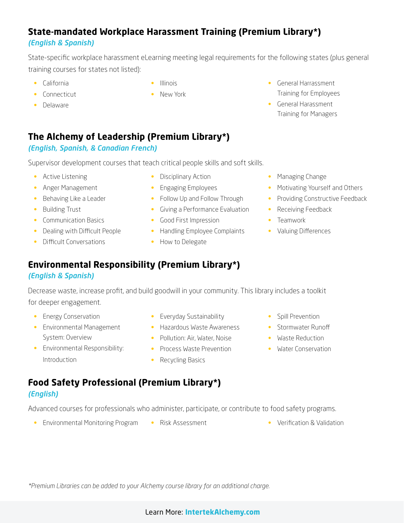# **State-mandated Workplace Harassment Training (Premium Library\*)** *(English & Spanish)*

State-specific workplace harassment eLearning meeting legal requirements for the following states (plus general training courses for states not listed):

- California
- Connecticut
- Delaware
- Illinois
- New York
- General Harrassment Training for Employees
- General Harassment Training for Managers

# **The Alchemy of Leadership (Premium Library\*)**

### *(English, Spanish, & Canadian French)*

Supervisor development courses that teach critical people skills and soft skills.

- Active Listening
- Anger Management
- Behaving Like a Leader
- Building Trust
- Communication Basics
- Dealing with Difficult People
- Difficult Conversations
- Disciplinary Action
- Engaging Employees
- Follow Up and Follow Through
	- Giving a Performance Evaluation
	- Good First Impression
	- Handling Employee Complaints Valuing Differences
	- How to Delegate
- Managing Change
- Motivating Yourself and Others
- Providing Constructive Feedback
- Receiving Feedback
- Teamwork
- 

# **Environmental Responsibility (Premium Library\*)**

### *(English & Spanish)*

Decrease waste, increase profit, and build goodwill in your community. This library includes a toolkit for deeper engagement.

• Energy Conservation

Introduction

- Environmental Management System: Overview
- Everyday Sustainability
- Hazardous Waste Awareness
	-
	-
	- Recycling Basics
- Spill Prevention
- Stormwater Runoff
- Waste Reduction
- Water Conservation

# **Food Safety Professional (Premium Library\*)**  *(English)*

Advanced courses for professionals who administer, participate, or contribute to food safety programs.

- Environmental Monitoring Program Risk Assessment • Verification & Validation
- 

*\*Premium Libraries can be added to your Alchemy course library for an additional charge.*

- Pollution: Air, Water, Noise • Process Waste Prevention
- Environmental Responsibility: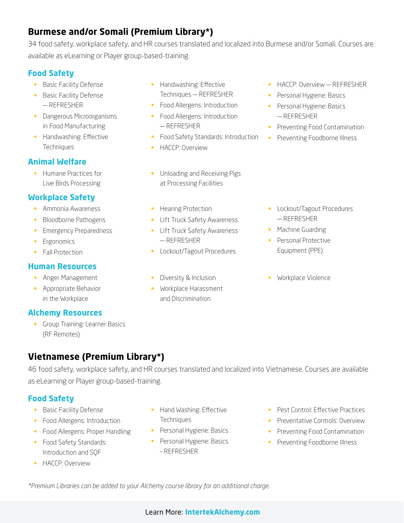# **Burmese and/or Somali (Premium Library\*)**

34 food safety, workplace safety, and HR courses translated and localized into Burmese and/or Somali. Courses are available as eLearning or Player group-based-training.

# **Food Safety**

- Basic Facility Defense
- Basic Facility Defense — REFRESHER
- Dangerous Microorganisms in Food Manufacturing
- Handwashing: Effective **Techniques**

# **Animal Welfare**

• Humane Practices for Live Birds Processing

# **Workplace Safety**

- Ammonia Awareness
- Bloodborne Pathogens
- Emergency Preparedness
- Ergonomics
- Fall Protection

### **Human Resources**

- Anger Management
- Appropriate Behavior in the Workplace

### **Alchemy Resources**

• Group Training: Learner Basics (RF Remotes)

- Handwashing: Effective Techniques — REFRESHER
- Food Allergens: Introduction
- Food Allergens: Introduction — REFRESHER
- Food Safety Standards: Introduction
- **HACCP**: Overview
- Unloading and Receiving Pigs at Processing Facilities
- Hearing Protection
- Lift Truck Safety Awareness
- Lift Truck Safety Awareness — REFRESHER
- Lockout/Tagout Procedures
- Diversity & Inclusion
- Workplace Harassment and Discrimination
- HACCP: Overview REFRESHER
- Personal Hygiene: Basics
- Personal Hygiene: Basics — REFRESHER
- Preventing Food Contamination
- Preventing Foodborne Illness

- Lockout/Tagout Procedures — REFRESHER
- Machine Guarding
- Personal Protective Equipment (PPE)
- Workplace Violence

**Vietnamese (Premium Library\*)**

46 food safety, workplace safety, and HR courses translated and localized into Vietnamese. Courses are available as eLearning or Player group-based-training.

# **Food Safety**

- Basic Facility Defense
- Food Allergens: Introduction
- Food Allergens: Proper Handling
- Food Safety Standards: Introduction and SQF
- **HACCP**: Overview
- Hand Washing: Effective **Techniques**
- Personal Hygiene: Basics
- Personal Hygiene: Basics – REFRESHER
- Pest Control: Effective Practices
- Preventative Controls: Overview
- Preventing Food Contamination
- Preventing Foodborne Illness

*\*Premium Libraries can be added to your Alchemy course library for an additional charge.*